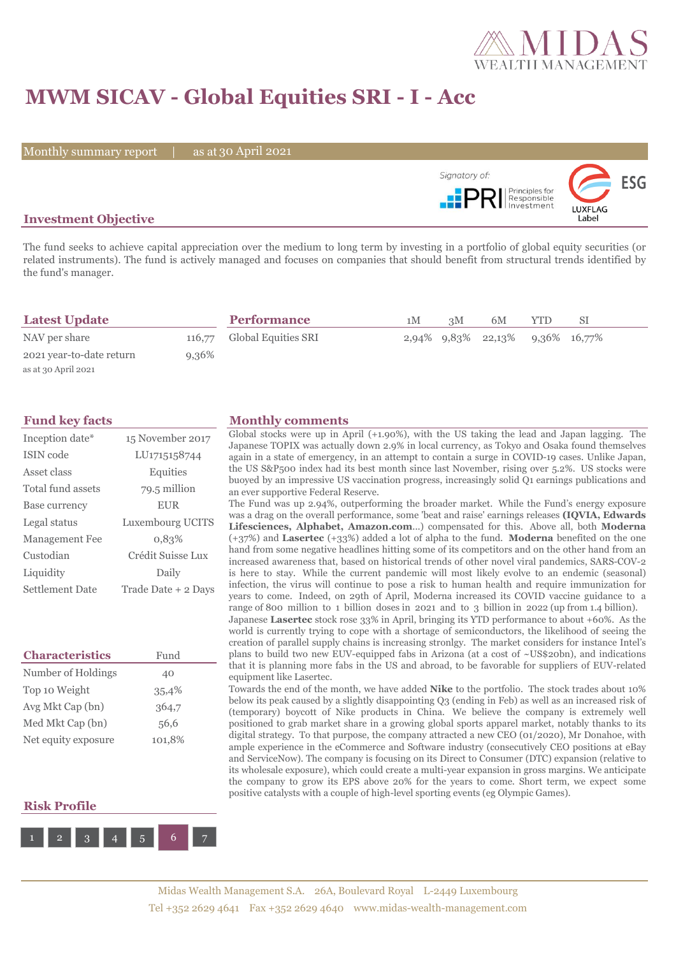

# **MWM SICAV - Global Equities SRI - I - Acc**

Monthly summary report | as at 30 April 2021



### **Investment Objective**

The fund seeks to achieve capital appreciation over the medium to long term by investing in a portfolio of global equity securities (or related instruments). The fund is actively managed and focuses on companies that should benefit from structural trends identified by the fund's manager.

| <b>Latest Update</b>     |       | <b>Performance</b>         | 1M | 3M | 6M                              | <b>YTD</b> | SΙ |  |
|--------------------------|-------|----------------------------|----|----|---------------------------------|------------|----|--|
| NAV per share            |       | 116,77 Global Equities SRI |    |    | 2,94% 9,83% 22,13% 9,36% 16,77% |            |    |  |
| 2021 year-to-date return | 9,36% |                            |    |    |                                 |            |    |  |
| as at 30 April 2021      |       |                            |    |    |                                 |            |    |  |

| Inception date*       | 15 November 2017    |
|-----------------------|---------------------|
| ISIN code             | LU1715158744        |
| Asset class           | Equities            |
| Total fund assets     | 79.5 million        |
| Base currency         | <b>EUR</b>          |
| Legal status          | Luxembourg UCITS    |
| <b>Management Fee</b> | 0.83%               |
| Custodian             | Crédit Suisse Lux   |
| Liquidity             | Daily               |
| Settlement Date       | Trade Date + 2 Days |

| <b>Characteristics</b> | Fund   |  |  |
|------------------------|--------|--|--|
| Number of Holdings     | 40     |  |  |
| Top 10 Weight          | 35,4%  |  |  |
| Avg Mkt Cap (bn)       | 364,7  |  |  |
| Med Mkt Cap (bn)       | 56,6   |  |  |
| Net equity exposure    | 101,8% |  |  |

### **Risk Profile**



### **Fund key facts Monthly comments**

Global stocks were up in April (+1.90%), with the US taking the lead and Japan lagging. The Japanese TOPIX was actually down 2.9% in local currency, as Tokyo and Osaka found themselves again in a state of emergency, in an attempt to contain a surge in COVID-19 cases. Unlike Japan, the US S&P500 index had its best month since last November, rising over 5.2%. US stocks were buoyed by an impressive US vaccination progress, increasingly solid Q1 earnings publications and an ever supportive Federal Reserve.

The Fund was up 2.94%, outperforming the broader market. While the Fund's energy exposure was a drag on the overall performance, some 'beat and raise' earnings releases **(IQVIA, Edwards Lifesciences, Alphabet, Amazon.com**...) compensated for this. Above all, both **Moderna**  (+37%) and **Lasertec** (+33%) added a lot of alpha to the fund. **Moderna** benefited on the one hand from some negative headlines hitting some of its competitors and on the other hand from an increased awareness that, based on historical trends of other novel viral pandemics, SARS-COV-2 is here to stay. While the current pandemic will most likely evolve to an endemic (seasonal) infection, the virus will continue to pose a risk to human health and require immunization for years to come. Indeed, on 29th of April, Moderna increased its COVID vaccine guidance to a range of 800 million to 1 billion doses in 2021 and to 3 billion in 2022 (up from 1.4 billion).

Japanese **Lasertec** stock rose 33% in April, bringing its YTD performance to about +60%. As the world is currently trying to cope with a shortage of semiconductors, the likelihood of seeing the creation of parallel supply chains is increasing stronlgy. The market considers for instance Intel's plans to build two new EUV-equipped fabs in Arizona (at a cost of ~US\$20bn), and indications that it is planning more fabs in the US and abroad, to be favorable for suppliers of EUV-related equipment like Lasertec.

Towards the end of the month, we have added **Nike** to the portfolio. The stock trades about 10% below its peak caused by a slightly disappointing Q3 (ending in Feb) as well as an increased risk of (temporary) boycott of Nike products in China. We believe the company is extremely well positioned to grab market share in a growing global sports apparel market, notably thanks to its digital strategy. To that purpose, the company attracted a new CEO (01/2020), Mr Donahoe, with ample experience in the eCommerce and Software industry (consecutively CEO positions at eBay and ServiceNow). The company is focusing on its Direct to Consumer (DTC) expansion (relative to its wholesale exposure), which could create a multi-year expansion in gross margins. We anticipate the company to grow its EPS above 20% for the years to come. Short term, we expect some positive catalysts with a couple of high-level sporting events (eg Olympic Games).